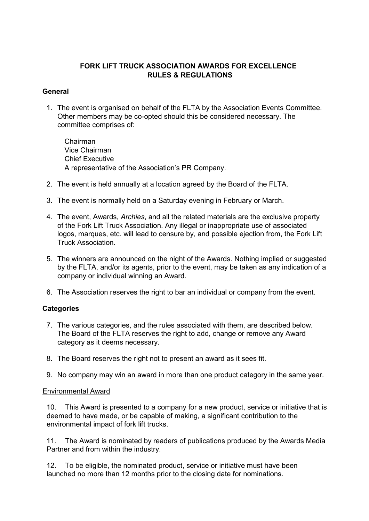# FORK LIFT TRUCK ASSOCIATION AWARDS FOR EXCELLENCE RULES & REGULATIONS

### General

1. The event is organised on behalf of the FLTA by the Association Events Committee. Other members may be co-opted should this be considered necessary. The committee comprises of:

Chairman Vice Chairman Chief Executive A representative of the Association's PR Company.

- 2. The event is held annually at a location agreed by the Board of the FLTA.
- 3. The event is normally held on a Saturday evening in February or March.
- 4. The event, Awards, Archies, and all the related materials are the exclusive property of the Fork Lift Truck Association. Any illegal or inappropriate use of associated logos, marques, etc. will lead to censure by, and possible ejection from, the Fork Lift Truck Association.
- 5. The winners are announced on the night of the Awards. Nothing implied or suggested by the FLTA, and/or its agents, prior to the event, may be taken as any indication of a company or individual winning an Award.
- 6. The Association reserves the right to bar an individual or company from the event.

# **Categories**

- 7. The various categories, and the rules associated with them, are described below. The Board of the FLTA reserves the right to add, change or remove any Award category as it deems necessary.
- 8. The Board reserves the right not to present an award as it sees fit.
- 9. No company may win an award in more than one product category in the same year.

### Environmental Award

10. This Award is presented to a company for a new product, service or initiative that is deemed to have made, or be capable of making, a significant contribution to the environmental impact of fork lift trucks.

11. The Award is nominated by readers of publications produced by the Awards Media Partner and from within the industry.

12. To be eligible, the nominated product, service or initiative must have been launched no more than 12 months prior to the closing date for nominations.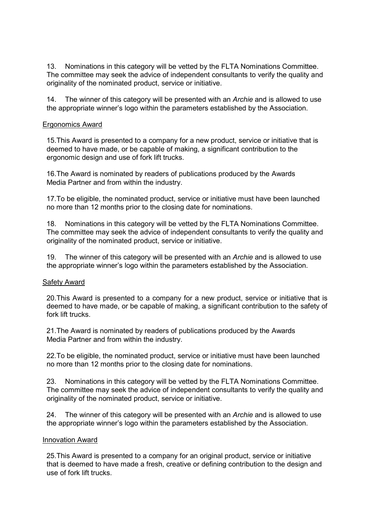13. Nominations in this category will be vetted by the FLTA Nominations Committee. The committee may seek the advice of independent consultants to verify the quality and originality of the nominated product, service or initiative.

14. The winner of this category will be presented with an Archie and is allowed to use the appropriate winner's logo within the parameters established by the Association.

### Ergonomics Award

15.This Award is presented to a company for a new product, service or initiative that is deemed to have made, or be capable of making, a significant contribution to the ergonomic design and use of fork lift trucks.

16.The Award is nominated by readers of publications produced by the Awards Media Partner and from within the industry.

17.To be eligible, the nominated product, service or initiative must have been launched no more than 12 months prior to the closing date for nominations.

18. Nominations in this category will be vetted by the FLTA Nominations Committee. The committee may seek the advice of independent consultants to verify the quality and originality of the nominated product, service or initiative.

19. The winner of this category will be presented with an Archie and is allowed to use the appropriate winner's logo within the parameters established by the Association.

### Safety Award

20.This Award is presented to a company for a new product, service or initiative that is deemed to have made, or be capable of making, a significant contribution to the safety of fork lift trucks.

21.The Award is nominated by readers of publications produced by the Awards Media Partner and from within the industry.

22.To be eligible, the nominated product, service or initiative must have been launched no more than 12 months prior to the closing date for nominations.

23. Nominations in this category will be vetted by the FLTA Nominations Committee. The committee may seek the advice of independent consultants to verify the quality and originality of the nominated product, service or initiative.

24. The winner of this category will be presented with an Archie and is allowed to use the appropriate winner's logo within the parameters established by the Association.

### Innovation Award

25.This Award is presented to a company for an original product, service or initiative that is deemed to have made a fresh, creative or defining contribution to the design and use of fork lift trucks.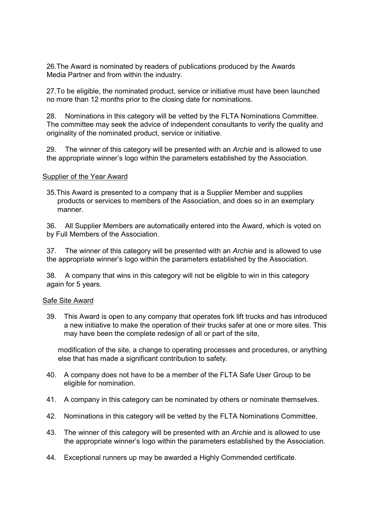26.The Award is nominated by readers of publications produced by the Awards Media Partner and from within the industry.

27.To be eligible, the nominated product, service or initiative must have been launched no more than 12 months prior to the closing date for nominations.

28. Nominations in this category will be vetted by the FLTA Nominations Committee. The committee may seek the advice of independent consultants to verify the quality and originality of the nominated product, service or initiative.

29. The winner of this category will be presented with an Archie and is allowed to use the appropriate winner's logo within the parameters established by the Association.

#### Supplier of the Year Award

35.This Award is presented to a company that is a Supplier Member and supplies products or services to members of the Association, and does so in an exemplary manner.

36. All Supplier Members are automatically entered into the Award, which is voted on by Full Members of the Association.

37. The winner of this category will be presented with an Archie and is allowed to use the appropriate winner's logo within the parameters established by the Association.

38. A company that wins in this category will not be eligible to win in this category again for 5 years.

#### Safe Site Award

39. This Award is open to any company that operates fork lift trucks and has introduced a new initiative to make the operation of their trucks safer at one or more sites. This may have been the complete redesign of all or part of the site,

modification of the site, a change to operating processes and procedures, or anything else that has made a significant contribution to safety.

- 40. A company does not have to be a member of the FLTA Safe User Group to be eligible for nomination.
- 41. A company in this category can be nominated by others or nominate themselves.
- 42. Nominations in this category will be vetted by the FLTA Nominations Committee.
- 43. The winner of this category will be presented with an Archie and is allowed to use the appropriate winner's logo within the parameters established by the Association.
- 44. Exceptional runners up may be awarded a Highly Commended certificate.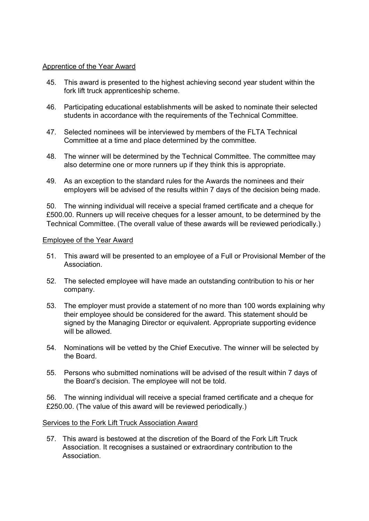### Apprentice of the Year Award

- 45. This award is presented to the highest achieving second year student within the fork lift truck apprenticeship scheme.
- 46. Participating educational establishments will be asked to nominate their selected students in accordance with the requirements of the Technical Committee.
- 47. Selected nominees will be interviewed by members of the FLTA Technical Committee at a time and place determined by the committee.
- 48. The winner will be determined by the Technical Committee. The committee may also determine one or more runners up if they think this is appropriate.
- 49. As an exception to the standard rules for the Awards the nominees and their employers will be advised of the results within 7 days of the decision being made.

50. The winning individual will receive a special framed certificate and a cheque for £500.00. Runners up will receive cheques for a lesser amount, to be determined by the Technical Committee. (The overall value of these awards will be reviewed periodically.)

### Employee of the Year Award

- 51. This award will be presented to an employee of a Full or Provisional Member of the Association.
- 52. The selected employee will have made an outstanding contribution to his or her company.
- 53. The employer must provide a statement of no more than 100 words explaining why their employee should be considered for the award. This statement should be signed by the Managing Director or equivalent. Appropriate supporting evidence will be allowed.
- 54. Nominations will be vetted by the Chief Executive. The winner will be selected by the Board.
- 55. Persons who submitted nominations will be advised of the result within 7 days of the Board's decision. The employee will not be told.

56. The winning individual will receive a special framed certificate and a cheque for £250.00. (The value of this award will be reviewed periodically.)

### Services to the Fork Lift Truck Association Award

57. This award is bestowed at the discretion of the Board of the Fork Lift Truck Association. It recognises a sustained or extraordinary contribution to the Association.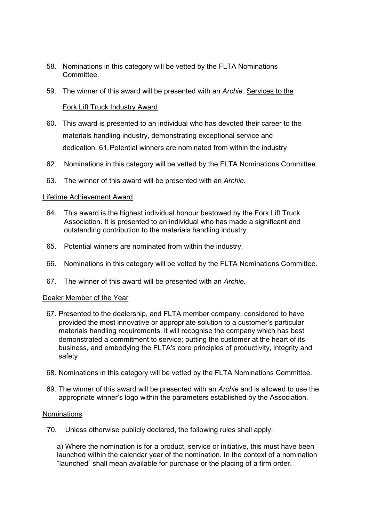- 58. Nominations in this category will be vetted by the FLTA Nominations **Committee.**
- 59. The winner of this award will be presented with an Archie. Services to the

### Fork Lift Truck Industry Award

- 60. This award is presented to an individual who has devoted their career to the materials handling industry, demonstrating exceptional service and dedication. 61. Potential winners are nominated from within the industry
- 62. Nominations in this category will be vetted by the FLTA Nominations Committee.
- 63. The winner of this award will be presented with an Archie.

### Lifetime Achievement Award

- 64. This award is the highest individual honour bestowed by the Fork Lift Truck Association. It is presented to an individual who has made a significant and outstanding contribution to the materials handling industry.
- 65. Potential winners are nominated from within the industry.
- 66. Nominations in this category will be vetted by the FLTA Nominations Committee.
- 67. The winner of this award will be presented with an Archie.

### Dealer Member of the Year

- 67. Presented to the dealership, and FLTA member company, considered to have provided the most innovative or appropriate solution to a customer's particular materials handling requirements, it will recognise the company which has best demonstrated a commitment to service; putting the customer at the heart of its business, and embodying the FLTA's core principles of productivity, integrity and safety
- 68. Nominations in this category will be vetted by the FLTA Nominations Committee.
- 69. The winner of this award will be presented with an Archie and is allowed to use the appropriate winner's logo within the parameters established by the Association.

### Nominations

70. Unless otherwise publicly declared, the following rules shall apply:

a) Where the nomination is for a product, service or initiative, this must have been launched within the calendar year of the nomination. In the context of a nomination "launched" shall mean available for purchase or the placing of a firm order.